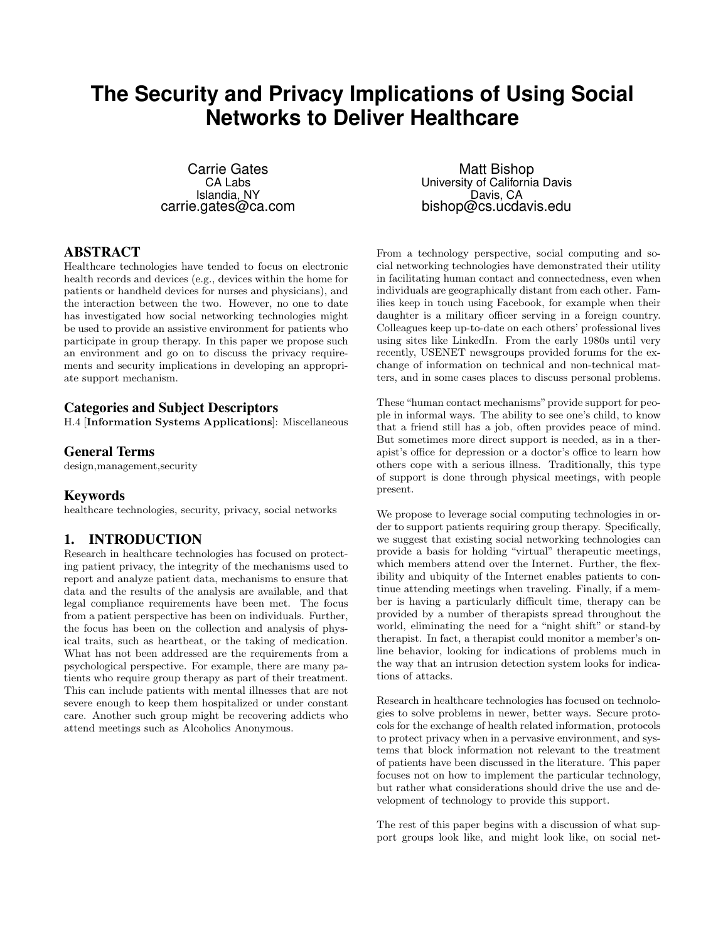# **The Security and Privacy Implications of Using Social Networks to Deliver Healthcare**

Carrie Gates CA Labs Islandia, NY carrie.gates@ca.com

# ABSTRACT

Healthcare technologies have tended to focus on electronic health records and devices (e.g., devices within the home for patients or handheld devices for nurses and physicians), and the interaction between the two. However, no one to date has investigated how social networking technologies might be used to provide an assistive environment for patients who participate in group therapy. In this paper we propose such an environment and go on to discuss the privacy requirements and security implications in developing an appropriate support mechanism.

# Categories and Subject Descriptors

H.4 [Information Systems Applications]: Miscellaneous

#### General Terms

design,management,security

### Keywords

healthcare technologies, security, privacy, social networks

#### 1. INTRODUCTION

Research in healthcare technologies has focused on protecting patient privacy, the integrity of the mechanisms used to report and analyze patient data, mechanisms to ensure that data and the results of the analysis are available, and that legal compliance requirements have been met. The focus from a patient perspective has been on individuals. Further, the focus has been on the collection and analysis of physical traits, such as heartbeat, or the taking of medication. What has not been addressed are the requirements from a psychological perspective. For example, there are many patients who require group therapy as part of their treatment. This can include patients with mental illnesses that are not severe enough to keep them hospitalized or under constant care. Another such group might be recovering addicts who attend meetings such as Alcoholics Anonymous.

Matt Bishop University of California Davis Davis, CA bishop@cs.ucdavis.edu

From a technology perspective, social computing and social networking technologies have demonstrated their utility in facilitating human contact and connectedness, even when individuals are geographically distant from each other. Families keep in touch using Facebook, for example when their daughter is a military officer serving in a foreign country. Colleagues keep up-to-date on each others' professional lives using sites like LinkedIn. From the early 1980s until very recently, USENET newsgroups provided forums for the exchange of information on technical and non-technical matters, and in some cases places to discuss personal problems.

These "human contact mechanisms"provide support for people in informal ways. The ability to see one's child, to know that a friend still has a job, often provides peace of mind. But sometimes more direct support is needed, as in a therapist's office for depression or a doctor's office to learn how others cope with a serious illness. Traditionally, this type of support is done through physical meetings, with people present.

We propose to leverage social computing technologies in order to support patients requiring group therapy. Specifically, we suggest that existing social networking technologies can provide a basis for holding "virtual" therapeutic meetings, which members attend over the Internet. Further, the flexibility and ubiquity of the Internet enables patients to continue attending meetings when traveling. Finally, if a member is having a particularly difficult time, therapy can be provided by a number of therapists spread throughout the world, eliminating the need for a "night shift" or stand-by therapist. In fact, a therapist could monitor a member's online behavior, looking for indications of problems much in the way that an intrusion detection system looks for indications of attacks.

Research in healthcare technologies has focused on technologies to solve problems in newer, better ways. Secure protocols for the exchange of health related information, protocols to protect privacy when in a pervasive environment, and systems that block information not relevant to the treatment of patients have been discussed in the literature. This paper focuses not on how to implement the particular technology, but rather what considerations should drive the use and development of technology to provide this support.

The rest of this paper begins with a discussion of what support groups look like, and might look like, on social net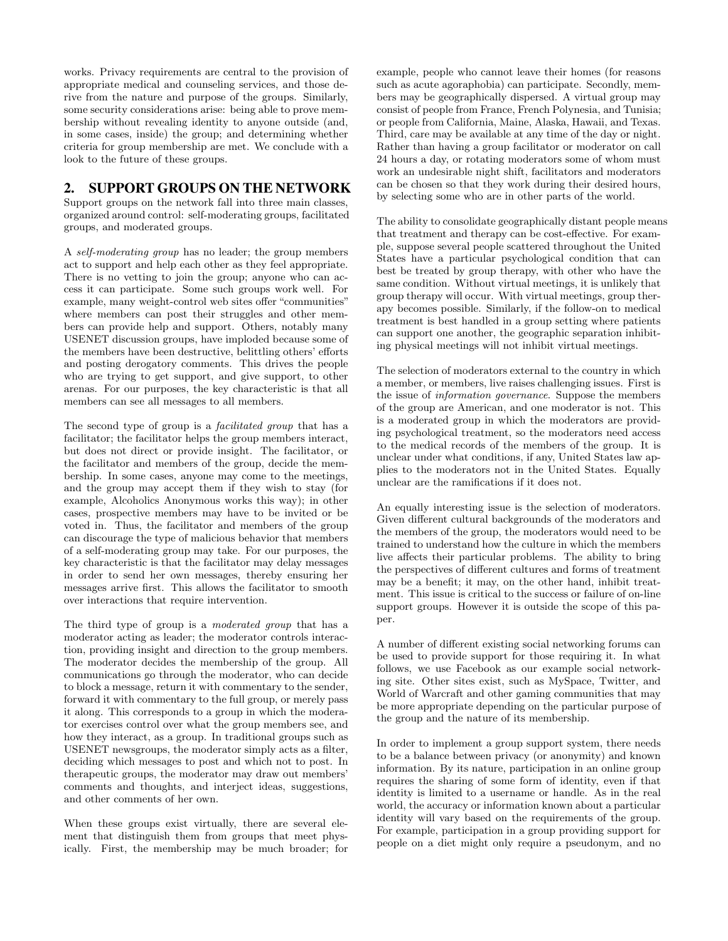works. Privacy requirements are central to the provision of appropriate medical and counseling services, and those derive from the nature and purpose of the groups. Similarly, some security considerations arise: being able to prove membership without revealing identity to anyone outside (and, in some cases, inside) the group; and determining whether criteria for group membership are met. We conclude with a look to the future of these groups.

# 2. SUPPORT GROUPS ON THE NETWORK

Support groups on the network fall into three main classes, organized around control: self-moderating groups, facilitated groups, and moderated groups.

A self-moderating group has no leader; the group members act to support and help each other as they feel appropriate. There is no vetting to join the group; anyone who can access it can participate. Some such groups work well. For example, many weight-control web sites offer "communities" where members can post their struggles and other members can provide help and support. Others, notably many USENET discussion groups, have imploded because some of the members have been destructive, belittling others' efforts and posting derogatory comments. This drives the people who are trying to get support, and give support, to other arenas. For our purposes, the key characteristic is that all members can see all messages to all members.

The second type of group is a *facilitated group* that has a facilitator; the facilitator helps the group members interact, but does not direct or provide insight. The facilitator, or the facilitator and members of the group, decide the membership. In some cases, anyone may come to the meetings, and the group may accept them if they wish to stay (for example, Alcoholics Anonymous works this way); in other cases, prospective members may have to be invited or be voted in. Thus, the facilitator and members of the group can discourage the type of malicious behavior that members of a self-moderating group may take. For our purposes, the key characteristic is that the facilitator may delay messages in order to send her own messages, thereby ensuring her messages arrive first. This allows the facilitator to smooth over interactions that require intervention.

The third type of group is a moderated group that has a moderator acting as leader; the moderator controls interaction, providing insight and direction to the group members. The moderator decides the membership of the group. All communications go through the moderator, who can decide to block a message, return it with commentary to the sender, forward it with commentary to the full group, or merely pass it along. This corresponds to a group in which the moderator exercises control over what the group members see, and how they interact, as a group. In traditional groups such as USENET newsgroups, the moderator simply acts as a filter, deciding which messages to post and which not to post. In therapeutic groups, the moderator may draw out members' comments and thoughts, and interject ideas, suggestions, and other comments of her own.

When these groups exist virtually, there are several element that distinguish them from groups that meet physically. First, the membership may be much broader; for example, people who cannot leave their homes (for reasons such as acute agoraphobia) can participate. Secondly, members may be geographically dispersed. A virtual group may consist of people from France, French Polynesia, and Tunisia; or people from California, Maine, Alaska, Hawaii, and Texas. Third, care may be available at any time of the day or night. Rather than having a group facilitator or moderator on call 24 hours a day, or rotating moderators some of whom must work an undesirable night shift, facilitators and moderators can be chosen so that they work during their desired hours, by selecting some who are in other parts of the world.

The ability to consolidate geographically distant people means that treatment and therapy can be cost-effective. For example, suppose several people scattered throughout the United States have a particular psychological condition that can best be treated by group therapy, with other who have the same condition. Without virtual meetings, it is unlikely that group therapy will occur. With virtual meetings, group therapy becomes possible. Similarly, if the follow-on to medical treatment is best handled in a group setting where patients can support one another, the geographic separation inhibiting physical meetings will not inhibit virtual meetings.

The selection of moderators external to the country in which a member, or members, live raises challenging issues. First is the issue of information governance. Suppose the members of the group are American, and one moderator is not. This is a moderated group in which the moderators are providing psychological treatment, so the moderators need access to the medical records of the members of the group. It is unclear under what conditions, if any, United States law applies to the moderators not in the United States. Equally unclear are the ramifications if it does not.

An equally interesting issue is the selection of moderators. Given different cultural backgrounds of the moderators and the members of the group, the moderators would need to be trained to understand how the culture in which the members live affects their particular problems. The ability to bring the perspectives of different cultures and forms of treatment may be a benefit; it may, on the other hand, inhibit treatment. This issue is critical to the success or failure of on-line support groups. However it is outside the scope of this paper.

A number of different existing social networking forums can be used to provide support for those requiring it. In what follows, we use Facebook as our example social networking site. Other sites exist, such as MySpace, Twitter, and World of Warcraft and other gaming communities that may be more appropriate depending on the particular purpose of the group and the nature of its membership.

In order to implement a group support system, there needs to be a balance between privacy (or anonymity) and known information. By its nature, participation in an online group requires the sharing of some form of identity, even if that identity is limited to a username or handle. As in the real world, the accuracy or information known about a particular identity will vary based on the requirements of the group. For example, participation in a group providing support for people on a diet might only require a pseudonym, and no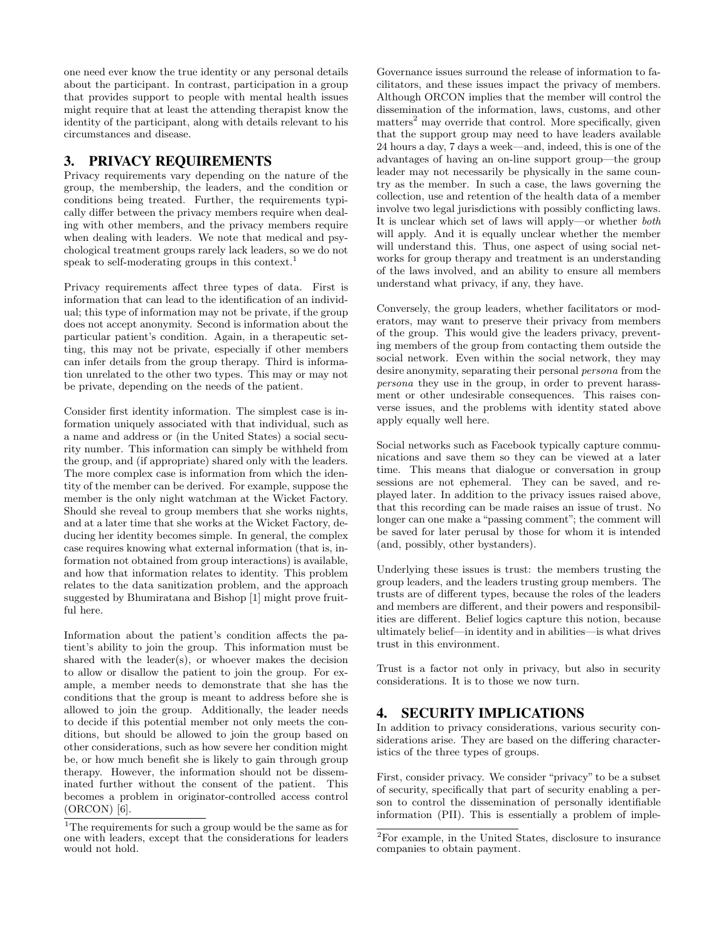one need ever know the true identity or any personal details about the participant. In contrast, participation in a group that provides support to people with mental health issues might require that at least the attending therapist know the identity of the participant, along with details relevant to his circumstances and disease.

### 3. PRIVACY REQUIREMENTS

Privacy requirements vary depending on the nature of the group, the membership, the leaders, and the condition or conditions being treated. Further, the requirements typically differ between the privacy members require when dealing with other members, and the privacy members require when dealing with leaders. We note that medical and psychological treatment groups rarely lack leaders, so we do not speak to self-moderating groups in this context.<sup>1</sup>

Privacy requirements affect three types of data. First is information that can lead to the identification of an individual; this type of information may not be private, if the group does not accept anonymity. Second is information about the particular patient's condition. Again, in a therapeutic setting, this may not be private, especially if other members can infer details from the group therapy. Third is information unrelated to the other two types. This may or may not be private, depending on the needs of the patient.

Consider first identity information. The simplest case is information uniquely associated with that individual, such as a name and address or (in the United States) a social security number. This information can simply be withheld from the group, and (if appropriate) shared only with the leaders. The more complex case is information from which the identity of the member can be derived. For example, suppose the member is the only night watchman at the Wicket Factory. Should she reveal to group members that she works nights, and at a later time that she works at the Wicket Factory, deducing her identity becomes simple. In general, the complex case requires knowing what external information (that is, information not obtained from group interactions) is available, and how that information relates to identity. This problem relates to the data sanitization problem, and the approach suggested by Bhumiratana and Bishop [1] might prove fruitful here.

Information about the patient's condition affects the patient's ability to join the group. This information must be shared with the leader(s), or whoever makes the decision to allow or disallow the patient to join the group. For example, a member needs to demonstrate that she has the conditions that the group is meant to address before she is allowed to join the group. Additionally, the leader needs to decide if this potential member not only meets the conditions, but should be allowed to join the group based on other considerations, such as how severe her condition might be, or how much benefit she is likely to gain through group therapy. However, the information should not be disseminated further without the consent of the patient. This becomes a problem in originator-controlled access control (ORCON) [6].

Governance issues surround the release of information to facilitators, and these issues impact the privacy of members. Although ORCON implies that the member will control the dissemination of the information, laws, customs, and other matters<sup>2</sup> may override that control. More specifically, given that the support group may need to have leaders available 24 hours a day, 7 days a week—and, indeed, this is one of the advantages of having an on-line support group—the group leader may not necessarily be physically in the same country as the member. In such a case, the laws governing the collection, use and retention of the health data of a member involve two legal jurisdictions with possibly conflicting laws. It is unclear which set of laws will apply—or whether both will apply. And it is equally unclear whether the member will understand this. Thus, one aspect of using social networks for group therapy and treatment is an understanding of the laws involved, and an ability to ensure all members understand what privacy, if any, they have.

Conversely, the group leaders, whether facilitators or moderators, may want to preserve their privacy from members of the group. This would give the leaders privacy, preventing members of the group from contacting them outside the social network. Even within the social network, they may desire anonymity, separating their personal persona from the persona they use in the group, in order to prevent harassment or other undesirable consequences. This raises converse issues, and the problems with identity stated above apply equally well here.

Social networks such as Facebook typically capture communications and save them so they can be viewed at a later time. This means that dialogue or conversation in group sessions are not ephemeral. They can be saved, and replayed later. In addition to the privacy issues raised above, that this recording can be made raises an issue of trust. No longer can one make a "passing comment"; the comment will be saved for later perusal by those for whom it is intended (and, possibly, other bystanders).

Underlying these issues is trust: the members trusting the group leaders, and the leaders trusting group members. The trusts are of different types, because the roles of the leaders and members are different, and their powers and responsibilities are different. Belief logics capture this notion, because ultimately belief—in identity and in abilities—is what drives trust in this environment.

Trust is a factor not only in privacy, but also in security considerations. It is to those we now turn.

# 4. SECURITY IMPLICATIONS

In addition to privacy considerations, various security considerations arise. They are based on the differing characteristics of the three types of groups.

First, consider privacy. We consider "privacy" to be a subset of security, specifically that part of security enabling a person to control the dissemination of personally identifiable information (PII). This is essentially a problem of imple-

 $^1\mathrm{The}$  requirements for such a group would be the same as for one with leaders, except that the considerations for leaders would not hold.

<sup>2</sup>For example, in the United States, disclosure to insurance companies to obtain payment.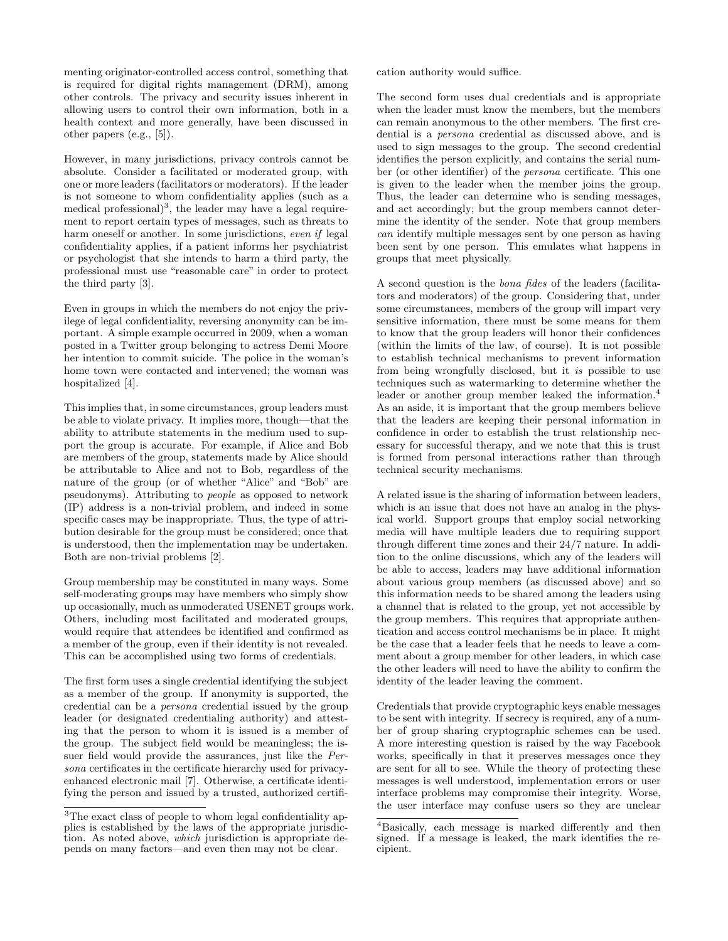menting originator-controlled access control, something that is required for digital rights management (DRM), among other controls. The privacy and security issues inherent in allowing users to control their own information, both in a health context and more generally, have been discussed in other papers (e.g., [5]).

However, in many jurisdictions, privacy controls cannot be absolute. Consider a facilitated or moderated group, with one or more leaders (facilitators or moderators). If the leader is not someone to whom confidentiality applies (such as a medical professional $)^3$ , the leader may have a legal requirement to report certain types of messages, such as threats to harm oneself or another. In some jurisdictions, even if legal confidentiality applies, if a patient informs her psychiatrist or psychologist that she intends to harm a third party, the professional must use "reasonable care" in order to protect the third party [3].

Even in groups in which the members do not enjoy the privilege of legal confidentiality, reversing anonymity can be important. A simple example occurred in 2009, when a woman posted in a Twitter group belonging to actress Demi Moore her intention to commit suicide. The police in the woman's home town were contacted and intervened; the woman was hospitalized [4].

This implies that, in some circumstances, group leaders must be able to violate privacy. It implies more, though—that the ability to attribute statements in the medium used to support the group is accurate. For example, if Alice and Bob are members of the group, statements made by Alice should be attributable to Alice and not to Bob, regardless of the nature of the group (or of whether "Alice" and "Bob" are pseudonyms). Attributing to people as opposed to network (IP) address is a non-trivial problem, and indeed in some specific cases may be inappropriate. Thus, the type of attribution desirable for the group must be considered; once that is understood, then the implementation may be undertaken. Both are non-trivial problems [2].

Group membership may be constituted in many ways. Some self-moderating groups may have members who simply show up occasionally, much as unmoderated USENET groups work. Others, including most facilitated and moderated groups, would require that attendees be identified and confirmed as a member of the group, even if their identity is not revealed. This can be accomplished using two forms of credentials.

The first form uses a single credential identifying the subject as a member of the group. If anonymity is supported, the credential can be a persona credential issued by the group leader (or designated credentialing authority) and attesting that the person to whom it is issued is a member of the group. The subject field would be meaningless; the issuer field would provide the assurances, just like the Persona certificates in the certificate hierarchy used for privacyenhanced electronic mail [7]. Otherwise, a certificate identifying the person and issued by a trusted, authorized certification authority would suffice.

The second form uses dual credentials and is appropriate when the leader must know the members, but the members can remain anonymous to the other members. The first credential is a persona credential as discussed above, and is used to sign messages to the group. The second credential identifies the person explicitly, and contains the serial number (or other identifier) of the persona certificate. This one is given to the leader when the member joins the group. Thus, the leader can determine who is sending messages, and act accordingly; but the group members cannot determine the identity of the sender. Note that group members can identify multiple messages sent by one person as having been sent by one person. This emulates what happens in groups that meet physically.

A second question is the bona fides of the leaders (facilitators and moderators) of the group. Considering that, under some circumstances, members of the group will impart very sensitive information, there must be some means for them to know that the group leaders will honor their confidences (within the limits of the law, of course). It is not possible to establish technical mechanisms to prevent information from being wrongfully disclosed, but it is possible to use techniques such as watermarking to determine whether the leader or another group member leaked the information.<sup>4</sup> As an aside, it is important that the group members believe that the leaders are keeping their personal information in confidence in order to establish the trust relationship necessary for successful therapy, and we note that this is trust is formed from personal interactions rather than through technical security mechanisms.

A related issue is the sharing of information between leaders, which is an issue that does not have an analog in the physical world. Support groups that employ social networking media will have multiple leaders due to requiring support through different time zones and their 24/7 nature. In addition to the online discussions, which any of the leaders will be able to access, leaders may have additional information about various group members (as discussed above) and so this information needs to be shared among the leaders using a channel that is related to the group, yet not accessible by the group members. This requires that appropriate authentication and access control mechanisms be in place. It might be the case that a leader feels that he needs to leave a comment about a group member for other leaders, in which case the other leaders will need to have the ability to confirm the identity of the leader leaving the comment.

Credentials that provide cryptographic keys enable messages to be sent with integrity. If secrecy is required, any of a number of group sharing cryptographic schemes can be used. A more interesting question is raised by the way Facebook works, specifically in that it preserves messages once they are sent for all to see. While the theory of protecting these messages is well understood, implementation errors or user interface problems may compromise their integrity. Worse, the user interface may confuse users so they are unclear

<sup>&</sup>lt;sup>3</sup>The exact class of people to whom legal confidentiality applies is established by the laws of the appropriate jurisdiction. As noted above, which jurisdiction is appropriate depends on many factors—and even then may not be clear.

<sup>4</sup>Basically, each message is marked differently and then signed. If a message is leaked, the mark identifies the recipient.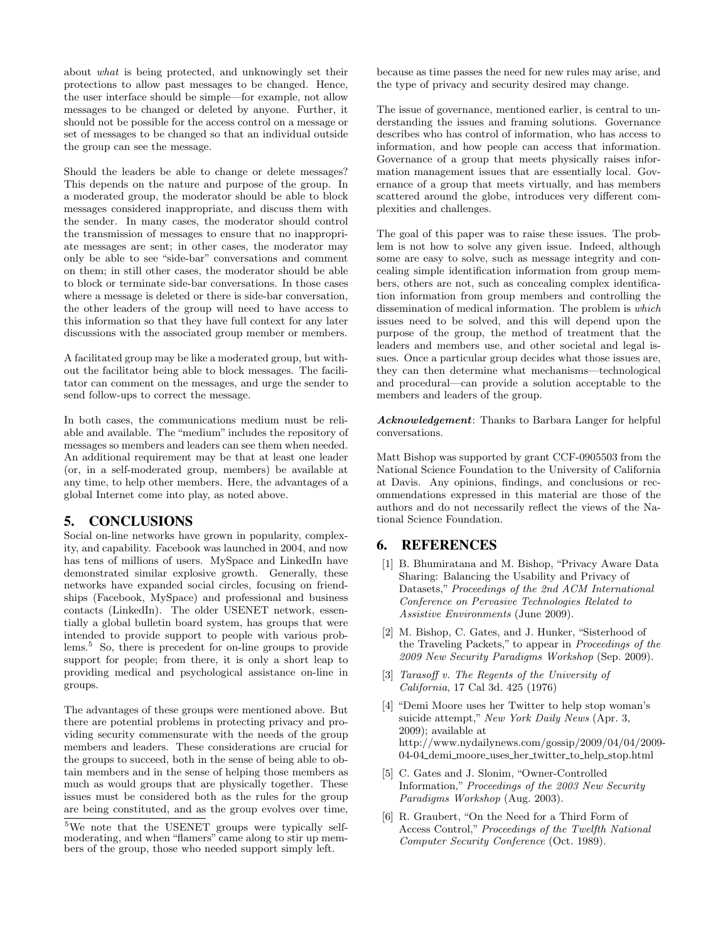about what is being protected, and unknowingly set their protections to allow past messages to be changed. Hence, the user interface should be simple—for example, not allow messages to be changed or deleted by anyone. Further, it should not be possible for the access control on a message or set of messages to be changed so that an individual outside the group can see the message.

Should the leaders be able to change or delete messages? This depends on the nature and purpose of the group. In a moderated group, the moderator should be able to block messages considered inappropriate, and discuss them with the sender. In many cases, the moderator should control the transmission of messages to ensure that no inappropriate messages are sent; in other cases, the moderator may only be able to see "side-bar" conversations and comment on them; in still other cases, the moderator should be able to block or terminate side-bar conversations. In those cases where a message is deleted or there is side-bar conversation, the other leaders of the group will need to have access to this information so that they have full context for any later discussions with the associated group member or members.

A facilitated group may be like a moderated group, but without the facilitator being able to block messages. The facilitator can comment on the messages, and urge the sender to send follow-ups to correct the message.

In both cases, the communications medium must be reliable and available. The "medium" includes the repository of messages so members and leaders can see them when needed. An additional requirement may be that at least one leader (or, in a self-moderated group, members) be available at any time, to help other members. Here, the advantages of a global Internet come into play, as noted above.

# 5. CONCLUSIONS

Social on-line networks have grown in popularity, complexity, and capability. Facebook was launched in 2004, and now has tens of millions of users. MySpace and LinkedIn have demonstrated similar explosive growth. Generally, these networks have expanded social circles, focusing on friendships (Facebook, MySpace) and professional and business contacts (LinkedIn). The older USENET network, essentially a global bulletin board system, has groups that were intended to provide support to people with various problems.<sup>5</sup> So, there is precedent for on-line groups to provide support for people; from there, it is only a short leap to providing medical and psychological assistance on-line in groups.

The advantages of these groups were mentioned above. But there are potential problems in protecting privacy and providing security commensurate with the needs of the group members and leaders. These considerations are crucial for the groups to succeed, both in the sense of being able to obtain members and in the sense of helping those members as much as would groups that are physically together. These issues must be considered both as the rules for the group are being constituted, and as the group evolves over time,

because as time passes the need for new rules may arise, and the type of privacy and security desired may change.

The issue of governance, mentioned earlier, is central to understanding the issues and framing solutions. Governance describes who has control of information, who has access to information, and how people can access that information. Governance of a group that meets physically raises information management issues that are essentially local. Governance of a group that meets virtually, and has members scattered around the globe, introduces very different complexities and challenges.

The goal of this paper was to raise these issues. The problem is not how to solve any given issue. Indeed, although some are easy to solve, such as message integrity and concealing simple identification information from group members, others are not, such as concealing complex identification information from group members and controlling the dissemination of medical information. The problem is which issues need to be solved, and this will depend upon the purpose of the group, the method of treatment that the leaders and members use, and other societal and legal issues. Once a particular group decides what those issues are, they can then determine what mechanisms—technological and procedural—can provide a solution acceptable to the members and leaders of the group.

Acknowledgement: Thanks to Barbara Langer for helpful conversations.

Matt Bishop was supported by grant CCF-0905503 from the National Science Foundation to the University of California at Davis. Any opinions, findings, and conclusions or recommendations expressed in this material are those of the authors and do not necessarily reflect the views of the National Science Foundation.

# 6. REFERENCES

- [1] B. Bhumiratana and M. Bishop, "Privacy Aware Data Sharing: Balancing the Usability and Privacy of Datasets," Proceedings of the 2nd ACM International Conference on Pervasive Technologies Related to Assistive Environments (June 2009).
- [2] M. Bishop, C. Gates, and J. Hunker, "Sisterhood of the Traveling Packets," to appear in Proceedings of the 2009 New Security Paradigms Workshop (Sep. 2009).
- [3] Tarasoff v. The Regents of the University of California, 17 Cal 3d. 425 (1976)
- [4] "Demi Moore uses her Twitter to help stop woman's suicide attempt," New York Daily News (Apr. 3, 2009); available at http://www.nydailynews.com/gossip/2009/04/04/2009- 04-04 demi moore uses her twitter to help stop.html
- [5] C. Gates and J. Slonim, "Owner-Controlled Information," Proceedings of the 2003 New Security Paradigms Workshop (Aug. 2003).
- [6] R. Graubert, "On the Need for a Third Form of Access Control," Proceedings of the Twelfth National Computer Security Conference (Oct. 1989).

<sup>&</sup>lt;sup>5</sup>We note that the USENET groups were typically selfmoderating, and when "flamers" came along to stir up members of the group, those who needed support simply left.